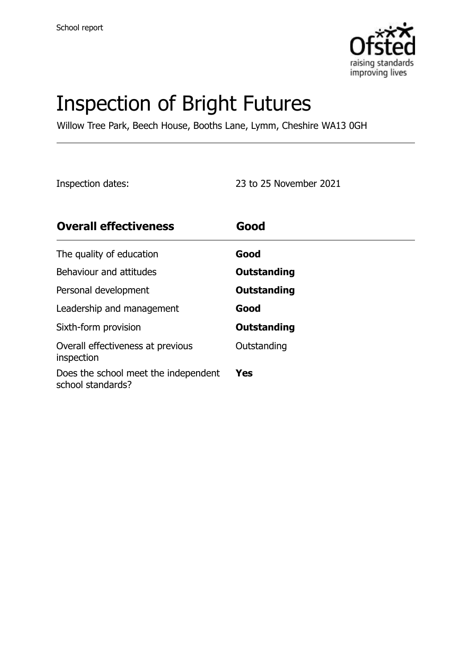

# Inspection of Bright Futures

Willow Tree Park, Beech House, Booths Lane, Lymm, Cheshire WA13 0GH

Inspection dates: 23 to 25 November 2021

| <b>Overall effectiveness</b>                              | Good        |
|-----------------------------------------------------------|-------------|
| The quality of education                                  | Good        |
| Behaviour and attitudes                                   | Outstanding |
| Personal development                                      | Outstanding |
| Leadership and management                                 | Good        |
| Sixth-form provision                                      | Outstanding |
| Overall effectiveness at previous<br>inspection           | Outstanding |
| Does the school meet the independent<br>school standards? | Yes         |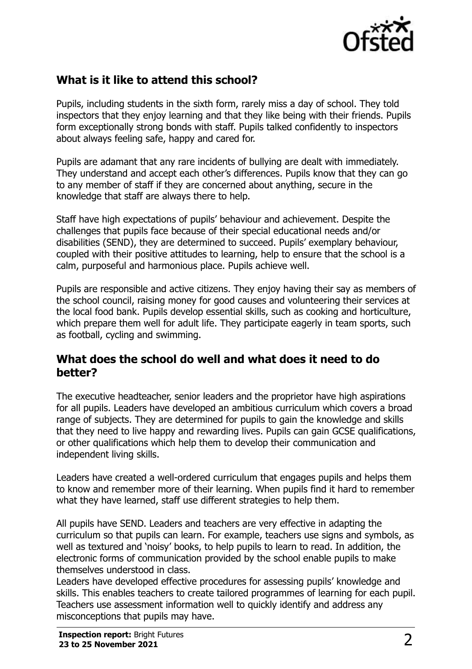

## **What is it like to attend this school?**

Pupils, including students in the sixth form, rarely miss a day of school. They told inspectors that they enjoy learning and that they like being with their friends. Pupils form exceptionally strong bonds with staff. Pupils talked confidently to inspectors about always feeling safe, happy and cared for.

Pupils are adamant that any rare incidents of bullying are dealt with immediately. They understand and accept each other's differences. Pupils know that they can go to any member of staff if they are concerned about anything, secure in the knowledge that staff are always there to help.

Staff have high expectations of pupils' behaviour and achievement. Despite the challenges that pupils face because of their special educational needs and/or disabilities (SEND), they are determined to succeed. Pupils' exemplary behaviour, coupled with their positive attitudes to learning, help to ensure that the school is a calm, purposeful and harmonious place. Pupils achieve well.

Pupils are responsible and active citizens. They enjoy having their say as members of the school council, raising money for good causes and volunteering their services at the local food bank. Pupils develop essential skills, such as cooking and horticulture, which prepare them well for adult life. They participate eagerly in team sports, such as football, cycling and swimming.

#### **What does the school do well and what does it need to do better?**

The executive headteacher, senior leaders and the proprietor have high aspirations for all pupils. Leaders have developed an ambitious curriculum which covers a broad range of subjects. They are determined for pupils to gain the knowledge and skills that they need to live happy and rewarding lives. Pupils can gain GCSE qualifications, or other qualifications which help them to develop their communication and independent living skills.

Leaders have created a well-ordered curriculum that engages pupils and helps them to know and remember more of their learning. When pupils find it hard to remember what they have learned, staff use different strategies to help them.

All pupils have SEND. Leaders and teachers are very effective in adapting the curriculum so that pupils can learn. For example, teachers use signs and symbols, as well as textured and 'noisy' books, to help pupils to learn to read. In addition, the electronic forms of communication provided by the school enable pupils to make themselves understood in class.

Leaders have developed effective procedures for assessing pupils' knowledge and skills. This enables teachers to create tailored programmes of learning for each pupil. Teachers use assessment information well to quickly identify and address any misconceptions that pupils may have.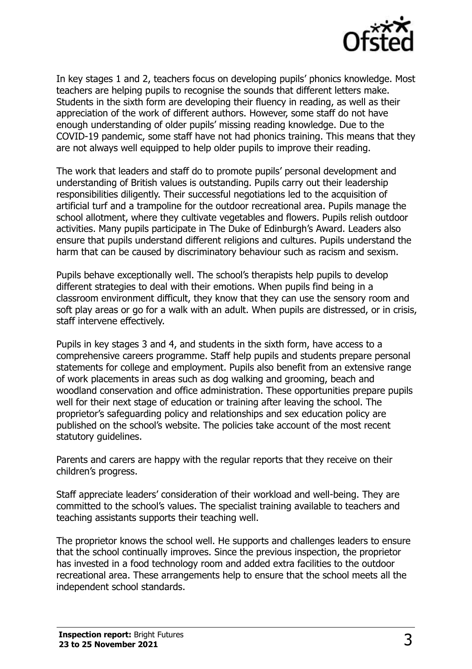

In key stages 1 and 2, teachers focus on developing pupils' phonics knowledge. Most teachers are helping pupils to recognise the sounds that different letters make. Students in the sixth form are developing their fluency in reading, as well as their appreciation of the work of different authors. However, some staff do not have enough understanding of older pupils' missing reading knowledge. Due to the COVID-19 pandemic, some staff have not had phonics training. This means that they are not always well equipped to help older pupils to improve their reading.

The work that leaders and staff do to promote pupils' personal development and understanding of British values is outstanding. Pupils carry out their leadership responsibilities diligently. Their successful negotiations led to the acquisition of artificial turf and a trampoline for the outdoor recreational area. Pupils manage the school allotment, where they cultivate vegetables and flowers. Pupils relish outdoor activities. Many pupils participate in The Duke of Edinburgh's Award. Leaders also ensure that pupils understand different religions and cultures. Pupils understand the harm that can be caused by discriminatory behaviour such as racism and sexism.

Pupils behave exceptionally well. The school's therapists help pupils to develop different strategies to deal with their emotions. When pupils find being in a classroom environment difficult, they know that they can use the sensory room and soft play areas or go for a walk with an adult. When pupils are distressed, or in crisis, staff intervene effectively.

Pupils in key stages 3 and 4, and students in the sixth form, have access to a comprehensive careers programme. Staff help pupils and students prepare personal statements for college and employment. Pupils also benefit from an extensive range of work placements in areas such as dog walking and grooming, beach and woodland conservation and office administration. These opportunities prepare pupils well for their next stage of education or training after leaving the school. The proprietor's safeguarding policy and relationships and sex education policy are published on the school's website. The policies take account of the most recent statutory guidelines.

Parents and carers are happy with the regular reports that they receive on their children's progress.

Staff appreciate leaders' consideration of their workload and well-being. They are committed to the school's values. The specialist training available to teachers and teaching assistants supports their teaching well.

The proprietor knows the school well. He supports and challenges leaders to ensure that the school continually improves. Since the previous inspection, the proprietor has invested in a food technology room and added extra facilities to the outdoor recreational area. These arrangements help to ensure that the school meets all the independent school standards.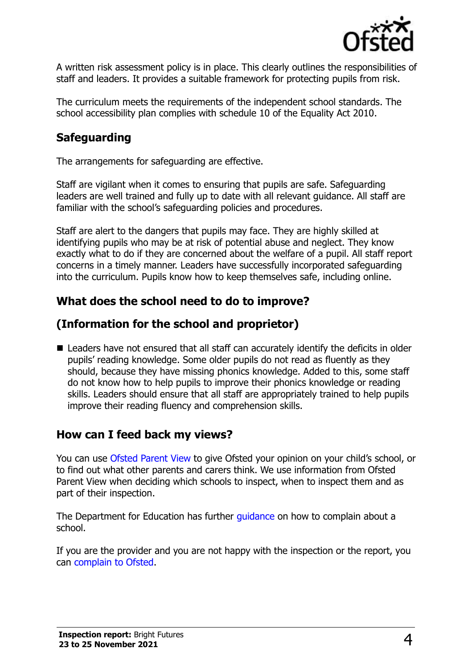

A written risk assessment policy is in place. This clearly outlines the responsibilities of staff and leaders. It provides a suitable framework for protecting pupils from risk.

The curriculum meets the requirements of the independent school standards. The school accessibility plan complies with schedule 10 of the Equality Act 2010.

## **Safeguarding**

The arrangements for safeguarding are effective.

Staff are vigilant when it comes to ensuring that pupils are safe. Safeguarding leaders are well trained and fully up to date with all relevant guidance. All staff are familiar with the school's safeguarding policies and procedures.

Staff are alert to the dangers that pupils may face. They are highly skilled at identifying pupils who may be at risk of potential abuse and neglect. They know exactly what to do if they are concerned about the welfare of a pupil. All staff report concerns in a timely manner. Leaders have successfully incorporated safeguarding into the curriculum. Pupils know how to keep themselves safe, including online.

#### **What does the school need to do to improve?**

## **(Information for the school and proprietor)**

■ Leaders have not ensured that all staff can accurately identify the deficits in older pupils' reading knowledge. Some older pupils do not read as fluently as they should, because they have missing phonics knowledge. Added to this, some staff do not know how to help pupils to improve their phonics knowledge or reading skills. Leaders should ensure that all staff are appropriately trained to help pupils improve their reading fluency and comprehension skills.

## **How can I feed back my views?**

You can use [Ofsted Parent View](http://parentview.ofsted.gov.uk/) to give Ofsted your opinion on your child's school, or to find out what other parents and carers think. We use information from Ofsted Parent View when deciding which schools to inspect, when to inspect them and as part of their inspection.

The Department for Education has further quidance on how to complain about a school.

If you are the provider and you are not happy with the inspection or the report, you can [complain to Ofsted.](http://www.gov.uk/complain-ofsted-report)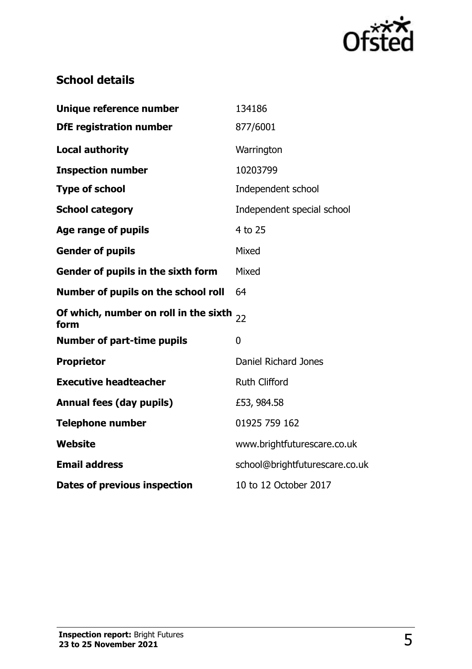

#### **School details**

| Unique reference number                       | 134186                         |
|-----------------------------------------------|--------------------------------|
| <b>DfE registration number</b>                | 877/6001                       |
| <b>Local authority</b>                        | Warrington                     |
| <b>Inspection number</b>                      | 10203799                       |
| <b>Type of school</b>                         | Independent school             |
| <b>School category</b>                        | Independent special school     |
| Age range of pupils                           | 4 to 25                        |
| <b>Gender of pupils</b>                       | Mixed                          |
| Gender of pupils in the sixth form            | Mixed                          |
| Number of pupils on the school roll           | 64                             |
| Of which, number on roll in the sixth<br>form | 22                             |
| <b>Number of part-time pupils</b>             | $\overline{0}$                 |
| <b>Proprietor</b>                             | Daniel Richard Jones           |
| <b>Executive headteacher</b>                  | <b>Ruth Clifford</b>           |
| <b>Annual fees (day pupils)</b>               | £53, 984.58                    |
| <b>Telephone number</b>                       | 01925 759 162                  |
| <b>Website</b>                                | www.brightfuturescare.co.uk    |
| <b>Email address</b>                          | school@brightfuturescare.co.uk |
| Dates of previous inspection                  | 10 to 12 October 2017          |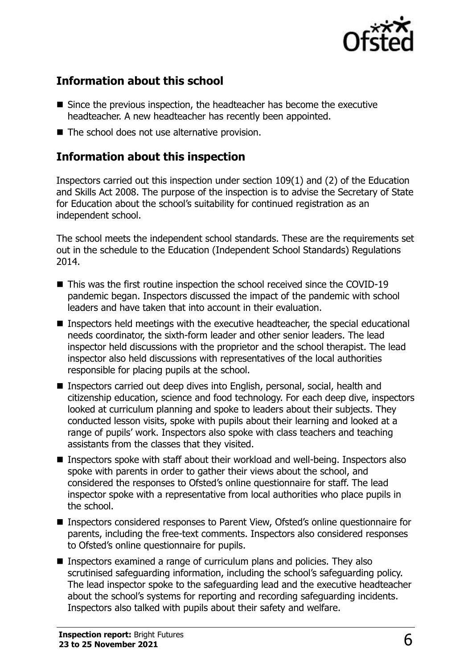

## **Information about this school**

- Since the previous inspection, the headteacher has become the executive headteacher. A new headteacher has recently been appointed.
- The school does not use alternative provision.

#### **Information about this inspection**

Inspectors carried out this inspection under section 109(1) and (2) of the Education and Skills Act 2008. The purpose of the inspection is to advise the Secretary of State for Education about the school's suitability for continued registration as an independent school.

The school meets the independent school standards. These are the requirements set out in the schedule to the Education (Independent School Standards) Regulations 2014.

- This was the first routine inspection the school received since the COVID-19 pandemic began. Inspectors discussed the impact of the pandemic with school leaders and have taken that into account in their evaluation.
- Inspectors held meetings with the executive headteacher, the special educational needs coordinator, the sixth-form leader and other senior leaders. The lead inspector held discussions with the proprietor and the school therapist. The lead inspector also held discussions with representatives of the local authorities responsible for placing pupils at the school.
- Inspectors carried out deep dives into English, personal, social, health and citizenship education, science and food technology. For each deep dive, inspectors looked at curriculum planning and spoke to leaders about their subjects. They conducted lesson visits, spoke with pupils about their learning and looked at a range of pupils' work. Inspectors also spoke with class teachers and teaching assistants from the classes that they visited.
- Inspectors spoke with staff about their workload and well-being. Inspectors also spoke with parents in order to gather their views about the school, and considered the responses to Ofsted's online questionnaire for staff. The lead inspector spoke with a representative from local authorities who place pupils in the school.
- Inspectors considered responses to Parent View, Ofsted's online questionnaire for parents, including the free-text comments. Inspectors also considered responses to Ofsted's online questionnaire for pupils.
- Inspectors examined a range of curriculum plans and policies. They also scrutinised safeguarding information, including the school's safeguarding policy. The lead inspector spoke to the safeguarding lead and the executive headteacher about the school's systems for reporting and recording safeguarding incidents. Inspectors also talked with pupils about their safety and welfare.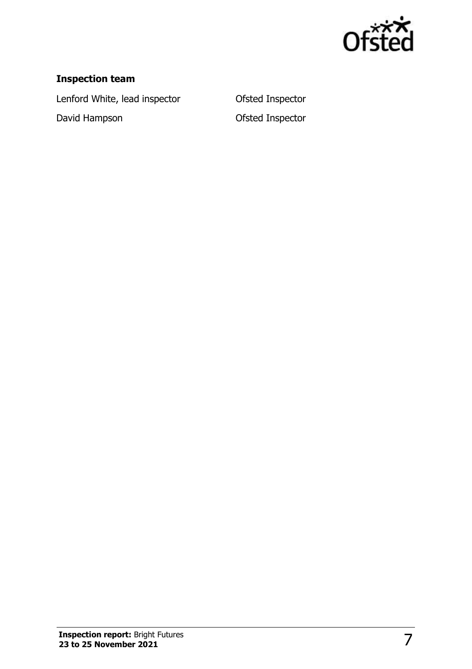

#### **Inspection team**

Lenford White, lead inspector **Ofsted Inspector** 

David Hampson **David Hampson** Ofsted Inspector